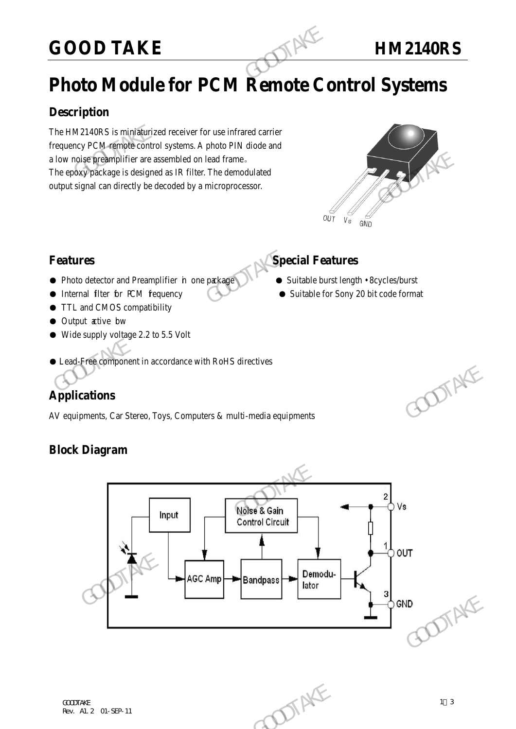# GOOD TAKE **HM2140RS**

# **Photo Module for PCM Remote Control Systems**

# **Description**

The HM2140RS is miniaturized receiver for use infrared carrier frequency PCM remote control systems. A photo PIN diode and a low noise preamplifier are assembled on lead frame。 The epoxy package is designed as IR filter. The demodulated output signal can directly be decoded by a microprocessor. **GOOD TAKE**<br> **Photo Module for PCM Remote Condemnation**<br>
The HM2140RS is miniaturized receiver for use infrared carrier<br>
frequency PCM and the and a low noise preamplifier are assembled on lead frame.<br>
The epoxy package i



### **Features Features Special Features**

- Photo detector and Preamplifier in one package Suitable burst length 8cycles/burst
- Internal filter for PCM fequency Suitable for Sony 20 bit code format
- TTL and CMOS compatibility
- Output active bw
- Wide supply voltage 2.2 to 5.5 Volt
- Lead-Free component in accordance with RoHS directives

# **Applications**

AV equipments, Car Stereo, Toys, Computers & multi-media equipments

# **Block Diagram**

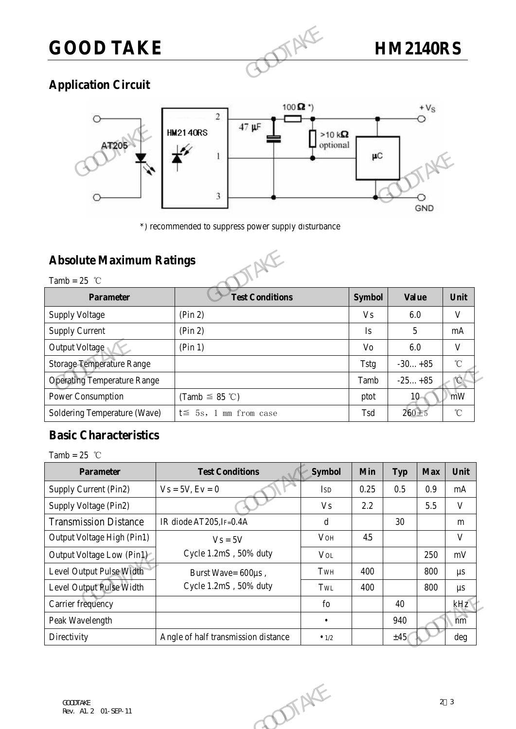

# **Application Circuit**



\*) recommended to suppress power supply disturbance

# **Absolute Maximum Ratings**



|                                                                                        | 3                      | $\mu$ C        | <b>GND</b>   |  |  |  |  |  |
|----------------------------------------------------------------------------------------|------------------------|----------------|--------------|--|--|--|--|--|
| *) recommended to suppress power supply disturbance<br><b>Absolute Maximum Ratings</b> |                        |                |              |  |  |  |  |  |
| Tamb = $25$ °C<br><b>Parameter</b>                                                     | <b>Test Conditions</b> | <b>Symbol</b>  | <b>Value</b> |  |  |  |  |  |
| <b>Supply Voltage</b>                                                                  | $(\text{Pin } 2)$      | V <sub>s</sub> | 6.0          |  |  |  |  |  |
| <b>Supply Current</b>                                                                  | (Pin 2)                | Is             | 5            |  |  |  |  |  |
| Output Voltage                                                                         | (Pin 1)                | Vo             | 6.0          |  |  |  |  |  |
| <b>Storage Temperature Range</b>                                                       |                        | <b>Tstg</b>    | $-30+85$     |  |  |  |  |  |
| <b>Operating Temperature Range</b>                                                     |                        | Tamb           | $-25+85$     |  |  |  |  |  |
| Power Consumption                                                                      | (Tamb $\leq$ 85 °C)    | ptot           | $10-$        |  |  |  |  |  |
|                                                                                        |                        |                |              |  |  |  |  |  |

# **Basic Characteristics**

|                                    |                                     |                | பலத  |            | 50105      | ◡                     |
|------------------------------------|-------------------------------------|----------------|------|------------|------------|-----------------------|
| <b>Operating Temperature Range</b> |                                     |                | Tamb |            | $-25+85$   | $^{\circ}$ C          |
| Power Consumption                  | (Tamb $\leq$ 85 °C)                 |                | ptot |            | $10 -$     | mW                    |
| Soldering Temperature (Wave)       | $t \leq 5s$ , 1 mm from case        |                | Tsd  | $260 + 5$  |            | $^\circ\!{\rm C}$     |
| <b>Basic Characteristics</b>       |                                     |                |      |            |            |                       |
| Tamb = 25 $^{\circ}$ C             |                                     |                |      |            |            |                       |
| Parameter                          | <b>Test Conditions</b>              | Symbol         | Min  | <b>Typ</b> | <b>Max</b> | Unit                  |
| Supply Current (Pin2)              | $Vs = 5V, Ev = 0$                   | <b>ISD</b>     | 0.25 | 0.5        | 0.9        | mA                    |
| Supply Voltage (Pin2)              |                                     | V <sub>S</sub> | 2.2  |            | 5.5        | $\mathbf V$           |
| <b>Transmission Distance</b>       | IR diode AT205, IF=0.4A             | $\mathbf d$    |      | 30         |            | m                     |
| Output Voltage High (Pin1)         | $V_s = 5V$                          | <b>VOH</b>     | 4.5  |            |            | $\mathbf{V}$          |
| Output Voltage Low (Pin1)          | Cycle 1.2mS, 50% duty               | <b>VOL</b>     |      |            | 250        | mV                    |
| Level Output Pulse Width           | Burst Wave= 600µs,                  | TWH            | 400  |            | 800        | $\mu s$               |
| Level Output Pulse Width           | Cycle 1.2mS, 50% duty               | TWL            | 400  |            | 800        | $\mu s$               |
| Carrier frequency                  |                                     | $f_{0}$        |      | 40         |            | kHz                   |
| Peak Wavelength                    |                                     | $\bullet$      |      | 940        |            | $\overrightarrow{nm}$ |
| Directivity                        | Angle of half transmission distance | $\bullet$ 1/2  |      | ±45        |            | deg                   |